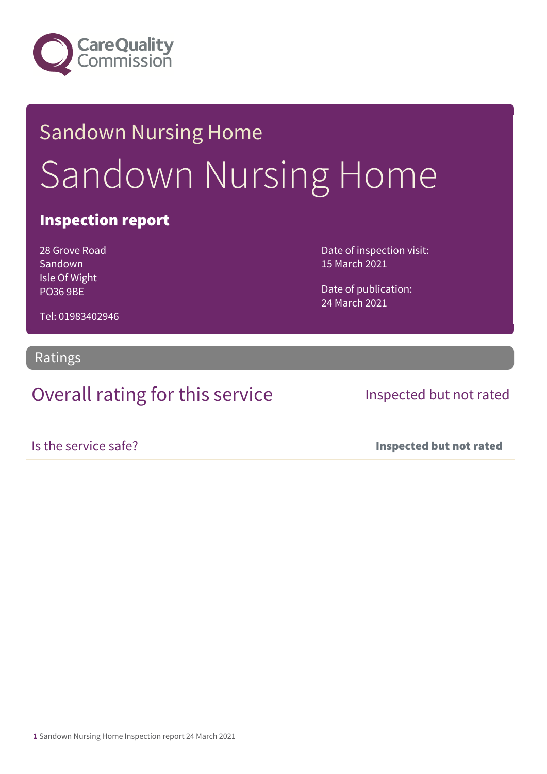

# Sandown Nursing Home Sandown Nursing Home

### Inspection report

28 Grove Road Sandown Isle Of Wight PO36 9BE

Date of inspection visit: 15 March 2021

Date of publication: 24 March 2021

Tel: 01983402946

### Ratings

Overall rating for this service Inspected but not rated

Is the service safe? Inspected but not rated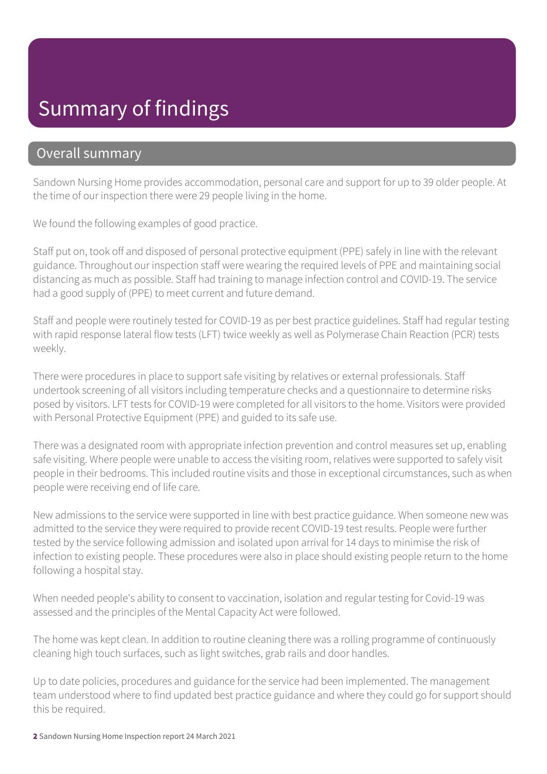## Summary of findings

### Overall summary

Sandown Nursing Home provides accommodation, personal care and support for up to 39 older people. At the time of our inspection there were 29 people living in the home.

We found the following examples of good practice.

Staff put on, took off and disposed of personal protective equipment (PPE) safely in line with the relevant guidance. Throughout our inspection staff were wearing the required levels of PPE and maintaining social distancing as much as possible. Staff had training to manage infection control and COVID-19. The service had a good supply of (PPE) to meet current and future demand.

Staff and people were routinely tested for COVID-19 as per best practice guidelines. Staff had regular testing with rapid response lateral flow tests (LFT) twice weekly as well as Polymerase Chain Reaction (PCR) tests weekly.

There were procedures in place to support safe visiting by relatives or external professionals. Staff undertook screening of all visitors including temperature checks and a questionnaire to determine risks posed by visitors. LFT tests for COVID-19 were completed for all visitors to the home. Visitors were provided with Personal Protective Equipment (PPE) and guided to its safe use.

There was a designated room with appropriate infection prevention and control measures set up, enabling safe visiting. Where people were unable to access the visiting room, relatives were supported to safely visit people in their bedrooms. This included routine visits and those in exceptional circumstances, such as when people were receiving end of life care.

New admissions to the service were supported in line with best practice guidance. When someone new was admitted to the service they were required to provide recent COVID-19 test results. People were further tested by the service following admission and isolated upon arrival for 14 days to minimise the risk of infection to existing people. These procedures were also in place should existing people return to the home following a hospital stay.

When needed people's ability to consent to vaccination, isolation and regular testing for Covid-19 was assessed and the principles of the Mental Capacity Act were followed.

The home was kept clean. In addition to routine cleaning there was a rolling programme of continuously cleaning high touch surfaces, such as light switches, grab rails and door handles.

Up to date policies, procedures and guidance for the service had been implemented. The management team understood where to find updated best practice guidance and where they could go for support should this be required.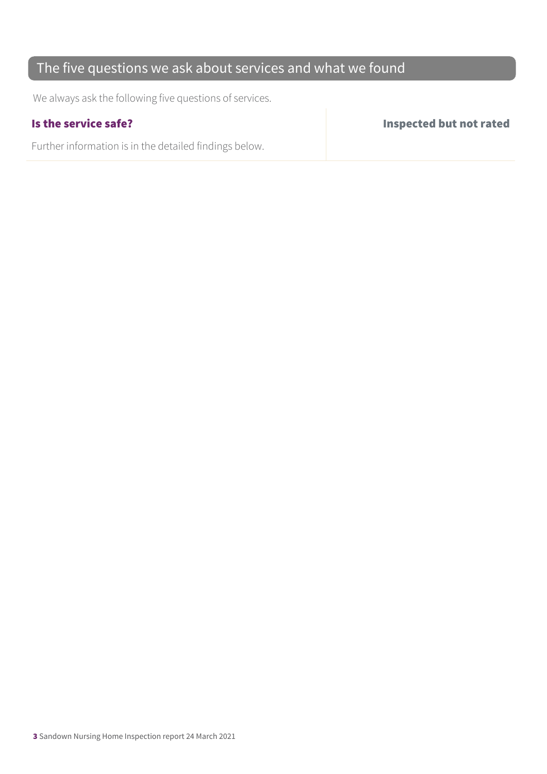### The five questions we ask about services and what we found

We always ask the following five questions of services.

Further information is in the detailed findings below.

Is the service safe? Inspected but not rated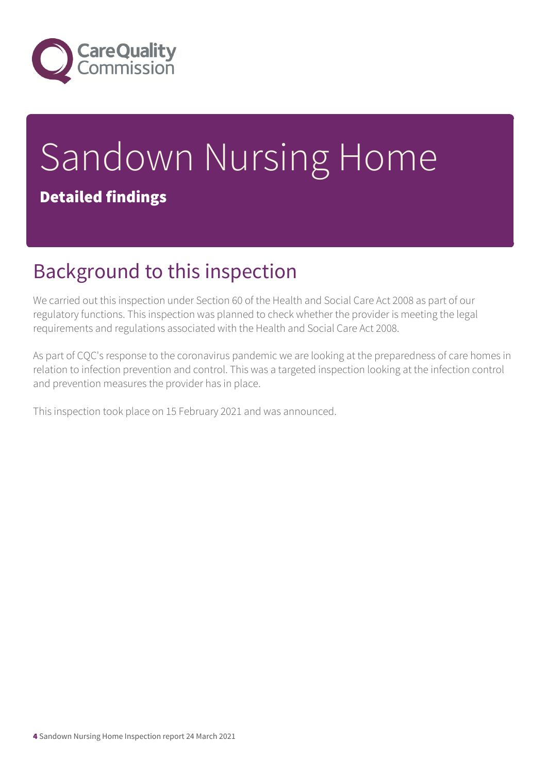

# Sandown Nursing Home Detailed findings

## Background to this inspection

We carried out this inspection under Section 60 of the Health and Social Care Act 2008 as part of our regulatory functions. This inspection was planned to check whether the provider is meeting the legal requirements and regulations associated with the Health and Social Care Act 2008.

As part of CQC's response to the coronavirus pandemic we are looking at the preparedness of care homes in relation to infection prevention and control. This was a targeted inspection looking at the infection control and prevention measures the provider has in place.

This inspection took place on 15 February 2021 and was announced.